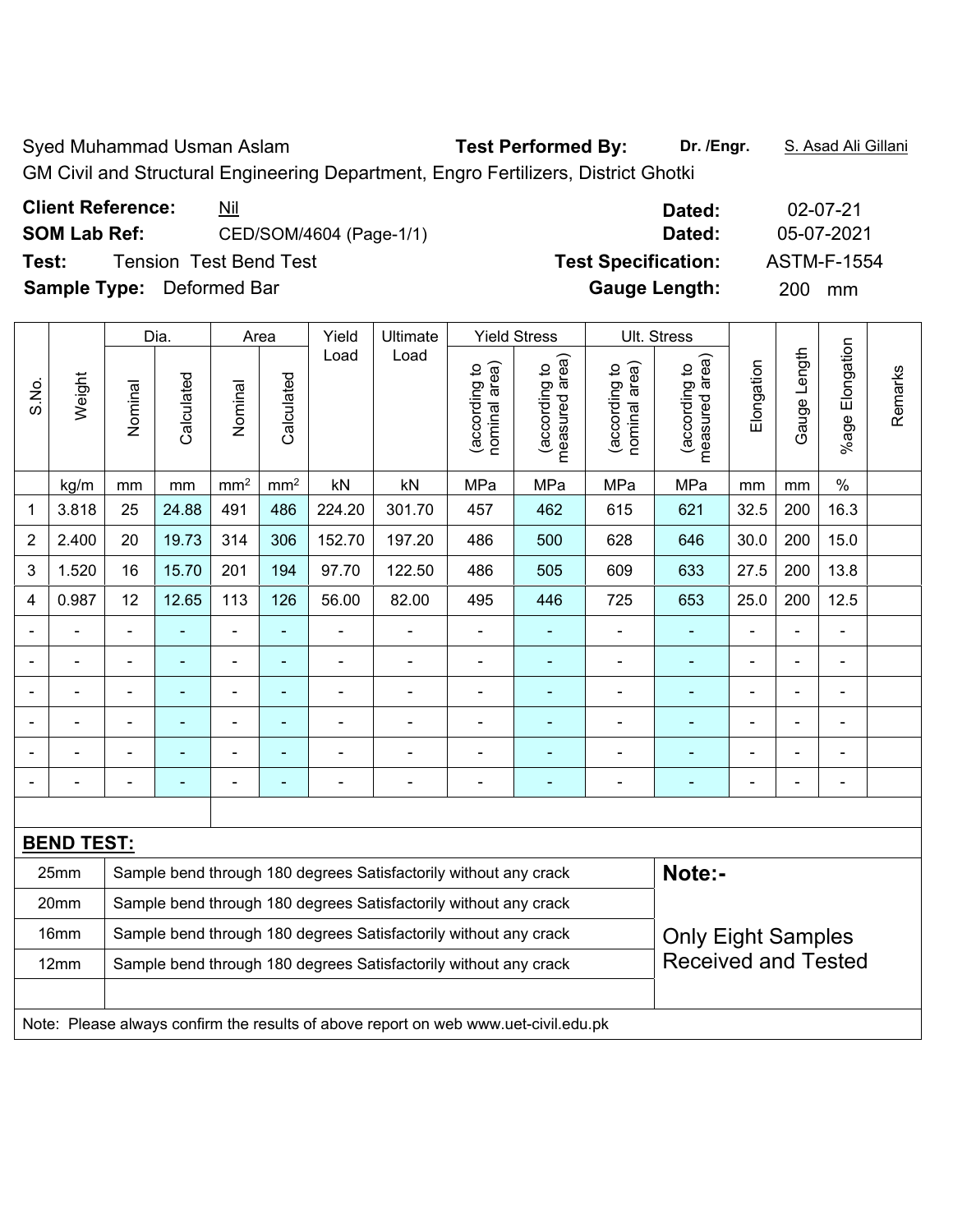Syed Muhammad Usman Aslam **Test Performed By:** Dr. /Engr. **S. Asad Ali Gillani** 

GM Civil and Structural Engineering Department, Engro Fertilizers, District Ghotki

| <b>Client Reference:</b> | <u>Nil</u>                       | Dated:                     | 02-07-21           |
|--------------------------|----------------------------------|----------------------------|--------------------|
| <b>SOM Lab Ref:</b>      | CED/SOM/4604 (Page-1/1)          | Dated:                     | 05-07-2021         |
| Test:                    | Tension Test Bend Test           | <b>Test Specification:</b> | <b>ASTM-F-1554</b> |
|                          | <b>Sample Type:</b> Deformed Bar | <b>Gauge Length:</b>       | <b>200</b><br>mm   |
|                          |                                  |                            |                    |

|                |                   |                                                                                                | Dia.           |                              | Area            | Yield                    | Ultimate                                                                            |                                | <b>Yield Stress</b>             |                                | Ult. Stress                     |            |                |                      |         |
|----------------|-------------------|------------------------------------------------------------------------------------------------|----------------|------------------------------|-----------------|--------------------------|-------------------------------------------------------------------------------------|--------------------------------|---------------------------------|--------------------------------|---------------------------------|------------|----------------|----------------------|---------|
| S.No.          | Weight            | Nominal                                                                                        | Calculated     | Nominal                      | Calculated      | Load                     | Load                                                                                | nominal area)<br>(according to | (according to<br>measured area) | nominal area)<br>(according to | (according to<br>measured area) | Elongation | Gauge Length   | Elongation<br>%age I | Remarks |
|                | kg/m              | mm                                                                                             | mm             | mm <sup>2</sup>              | mm <sup>2</sup> | kN                       | kN                                                                                  | MPa                            | MPa                             | MPa                            | MPa                             | mm         | mm             | $\%$                 |         |
| 1              | 3.818             | 25                                                                                             | 24.88          | 491                          | 486             | 224.20                   | 301.70                                                                              | 457                            | 462                             | 615                            | 621                             | 32.5       | 200            | 16.3                 |         |
| $\overline{2}$ | 2.400             | 20                                                                                             | 19.73          | 314                          | 306             | 152.70                   | 197.20                                                                              | 486                            | 500                             | 628                            | 646                             | 30.0       | 200            | 15.0                 |         |
| 3              | 1.520             | 16                                                                                             | 15.70          | 201                          | 194             | 97.70                    | 122.50                                                                              | 486                            | 505                             | 609                            | 633                             | 27.5       | 200            | 13.8                 |         |
| 4              | 0.987             | 12                                                                                             | 12.65          | 113                          | 126             | 56.00                    | 82.00                                                                               | 495                            | 446                             | 725                            | 653                             | 25.0       | 200            | 12.5                 |         |
|                |                   |                                                                                                |                |                              |                 |                          |                                                                                     |                                |                                 |                                |                                 |            |                |                      |         |
|                |                   |                                                                                                | Ē,             | ä,                           | ä,              |                          |                                                                                     | $\blacksquare$                 | ۰                               | ÷                              |                                 |            | L.             | L,                   |         |
| $\blacksquare$ | $\blacksquare$    |                                                                                                | $\blacksquare$ | ä,                           | ä,              | $\overline{\phantom{a}}$ | ÷                                                                                   | $\blacksquare$                 | ۰                               |                                |                                 |            | ä,             | L,                   |         |
|                | $\blacksquare$    |                                                                                                | $\blacksquare$ | ÷                            | ä,              |                          | $\blacksquare$                                                                      | $\overline{a}$                 | ۰                               | ä,                             |                                 |            | $\blacksquare$ | $\blacksquare$       |         |
|                | $\blacksquare$    |                                                                                                | ٠              | $\qquad \qquad \blacksquare$ | $\blacksquare$  | ۰                        | ۰                                                                                   | $\overline{a}$                 | ÷                               | ä,                             | $\blacksquare$                  |            | ä,             | ä,                   |         |
|                |                   |                                                                                                |                |                              |                 |                          |                                                                                     | $\blacksquare$                 | Ē.                              |                                |                                 |            |                | $\blacksquare$       |         |
|                |                   |                                                                                                |                |                              |                 |                          |                                                                                     |                                |                                 |                                |                                 |            |                |                      |         |
|                | <b>BEND TEST:</b> |                                                                                                |                |                              |                 |                          |                                                                                     |                                |                                 |                                |                                 |            |                |                      |         |
|                | 25mm              |                                                                                                |                |                              |                 |                          | Sample bend through 180 degrees Satisfactorily without any crack                    |                                |                                 |                                | Note:-                          |            |                |                      |         |
|                | 20mm              |                                                                                                |                |                              |                 |                          | Sample bend through 180 degrees Satisfactorily without any crack                    |                                |                                 |                                |                                 |            |                |                      |         |
|                | 16mm              |                                                                                                |                |                              |                 |                          | Sample bend through 180 degrees Satisfactorily without any crack                    |                                |                                 |                                | <b>Only Eight Samples</b>       |            |                |                      |         |
|                | 12mm              | <b>Received and Tested</b><br>Sample bend through 180 degrees Satisfactorily without any crack |                |                              |                 |                          |                                                                                     |                                |                                 |                                |                                 |            |                |                      |         |
|                |                   |                                                                                                |                |                              |                 |                          |                                                                                     |                                |                                 |                                |                                 |            |                |                      |         |
|                |                   |                                                                                                |                |                              |                 |                          | Note: Please always confirm the results of above report on web www.uet-civil.edu.pk |                                |                                 |                                |                                 |            |                |                      |         |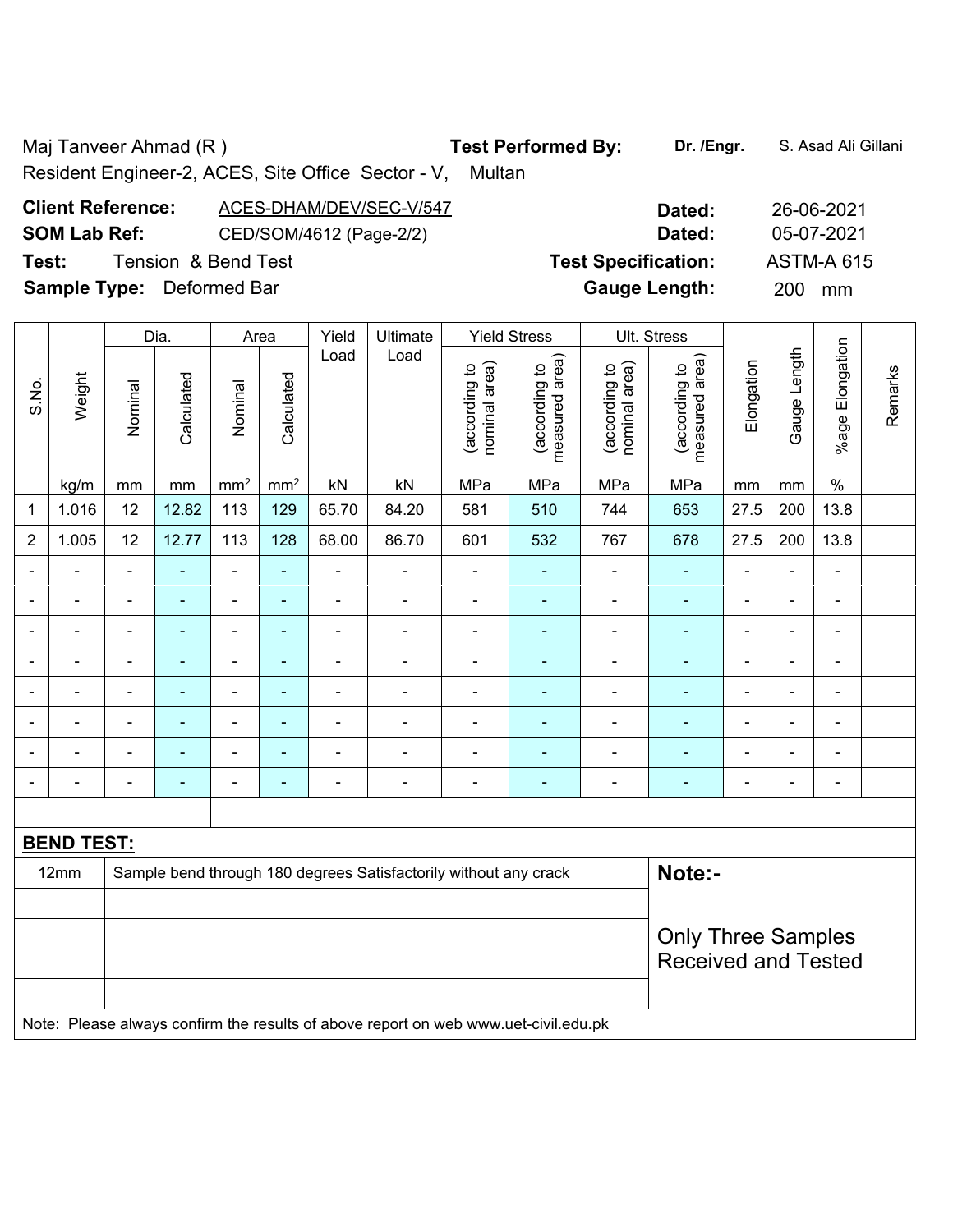Maj Tanveer Ahmad (R) **Test Performed By:** Dr. /Engr. **S. Asad Ali Gillani** Ali Gillani

Resident Engineer-2, ACES, Site Office Sector - V, Multan

## **Client Reference:** ACES-DHAM/DEV/SEC-V/547 **Dated:** 26-06-2021 **SOM Lab Ref:** CED/SOM/4612 (Page-2/2) **Dated:** 05-07-2021 **Test:** Tension & Bend Test **Test Specification:** ASTM-A 615 **Sample Type:** Deformed Bar **Gauge Length:** 200 mm

|                  |                   |                                                                                     | Dia.           |                 | Area                     | Yield          | Ultimate                                                         |                                | <b>Yield Stress</b>             |                                | Ult. Stress                     |                |                |                              |         |
|------------------|-------------------|-------------------------------------------------------------------------------------|----------------|-----------------|--------------------------|----------------|------------------------------------------------------------------|--------------------------------|---------------------------------|--------------------------------|---------------------------------|----------------|----------------|------------------------------|---------|
| S.No.            | Weight            | Nominal                                                                             | Calculated     | Nominal         | Calculated               | Load           | Load                                                             | nominal area)<br>(according to | measured area)<br>(according to | nominal area)<br>(according to | measured area)<br>(according to | Elongation     | Gauge Length   | %age Elongation              | Remarks |
|                  | kg/m              | mm                                                                                  | mm             | mm <sup>2</sup> | mm <sup>2</sup>          | kN             | kN                                                               | MPa                            | MPa                             | MPa                            | MPa                             | mm             | mm             | $\%$                         |         |
| 1                | 1.016             | 12                                                                                  | 12.82          | 113             | 129                      | 65.70          | 84.20                                                            | 581                            | 510                             | 744                            | 653                             | 27.5           | 200            | 13.8                         |         |
| $\boldsymbol{2}$ | 1.005             | 12                                                                                  | 12.77          | 113             | 128                      | 68.00          | 86.70                                                            | 601                            | 532                             | 767                            | 678                             | 27.5           | 200            | 13.8                         |         |
| Ē,               | $\blacksquare$    | $\blacksquare$                                                                      | ä,             | $\blacksquare$  | ä,                       | ä,             | $\blacksquare$                                                   | $\overline{\phantom{a}}$       | ä,                              | $\overline{\phantom{a}}$       | $\blacksquare$                  | $\blacksquare$ | $\blacksquare$ | ÷,                           |         |
|                  | $\blacksquare$    | $\blacksquare$                                                                      | $\blacksquare$ | $\blacksquare$  | $\blacksquare$           | ÷              | $\blacksquare$                                                   | $\blacksquare$                 | ÷,                              | $\overline{\phantom{a}}$       | $\blacksquare$                  | $\blacksquare$ | $\blacksquare$ | $\qquad \qquad \blacksquare$ |         |
| $\blacksquare$   | $\blacksquare$    | $\blacksquare$                                                                      | $\blacksquare$ | $\blacksquare$  | ä,                       | ä,             | $\blacksquare$                                                   | $\blacksquare$                 | ÷,                              | $\blacksquare$                 | $\blacksquare$                  | $\blacksquare$ | $\blacksquare$ | $\blacksquare$               |         |
|                  | ä,                | $\blacksquare$                                                                      | $\blacksquare$ | ÷,              | ä,                       | ÷              | ÷,                                                               | $\overline{\phantom{a}}$       | ÷,                              | $\blacksquare$                 | $\blacksquare$                  | $\blacksquare$ | $\blacksquare$ | $\qquad \qquad \blacksquare$ |         |
|                  |                   |                                                                                     | ä,             | ÷               | L,                       | ÷              | L,                                                               | ä,                             | ä,                              | $\blacksquare$                 | $\blacksquare$                  |                |                | ä,                           |         |
|                  | L                 |                                                                                     | Ē.             | ÷               | ä,                       | $\overline{a}$ | Ē,                                                               | $\blacksquare$                 |                                 |                                | Ē,                              |                | $\blacksquare$ | ۰                            |         |
|                  |                   |                                                                                     |                | ÷               | Ē.                       | $\overline{a}$ | L,                                                               | $\blacksquare$                 |                                 | $\blacksquare$                 | ۰                               |                |                | $\blacksquare$               |         |
| $\blacksquare$   | $\blacksquare$    | $\blacksquare$                                                                      | $\blacksquare$ | $\blacksquare$  | $\overline{\phantom{0}}$ | $\overline{a}$ | $\blacksquare$                                                   | $\overline{\phantom{0}}$       | $\overline{\phantom{0}}$        | ۰                              | $\blacksquare$                  | $\blacksquare$ | $\blacksquare$ | $\overline{\phantom{a}}$     |         |
|                  |                   |                                                                                     |                |                 |                          |                |                                                                  |                                |                                 |                                |                                 |                |                |                              |         |
|                  | <b>BEND TEST:</b> |                                                                                     |                |                 |                          |                |                                                                  |                                |                                 |                                |                                 |                |                |                              |         |
|                  | 12mm              |                                                                                     |                |                 |                          |                | Sample bend through 180 degrees Satisfactorily without any crack |                                |                                 |                                | Note:-                          |                |                |                              |         |
|                  |                   |                                                                                     |                |                 |                          |                |                                                                  |                                |                                 |                                |                                 |                |                |                              |         |
|                  |                   |                                                                                     |                |                 |                          |                |                                                                  |                                |                                 |                                | <b>Only Three Samples</b>       |                |                |                              |         |
|                  |                   |                                                                                     |                |                 |                          |                |                                                                  |                                |                                 |                                | <b>Received and Tested</b>      |                |                |                              |         |
|                  |                   |                                                                                     |                |                 |                          |                |                                                                  |                                |                                 |                                |                                 |                |                |                              |         |
|                  |                   | Note: Please always confirm the results of above report on web www.uet-civil.edu.pk |                |                 |                          |                |                                                                  |                                |                                 |                                |                                 |                |                |                              |         |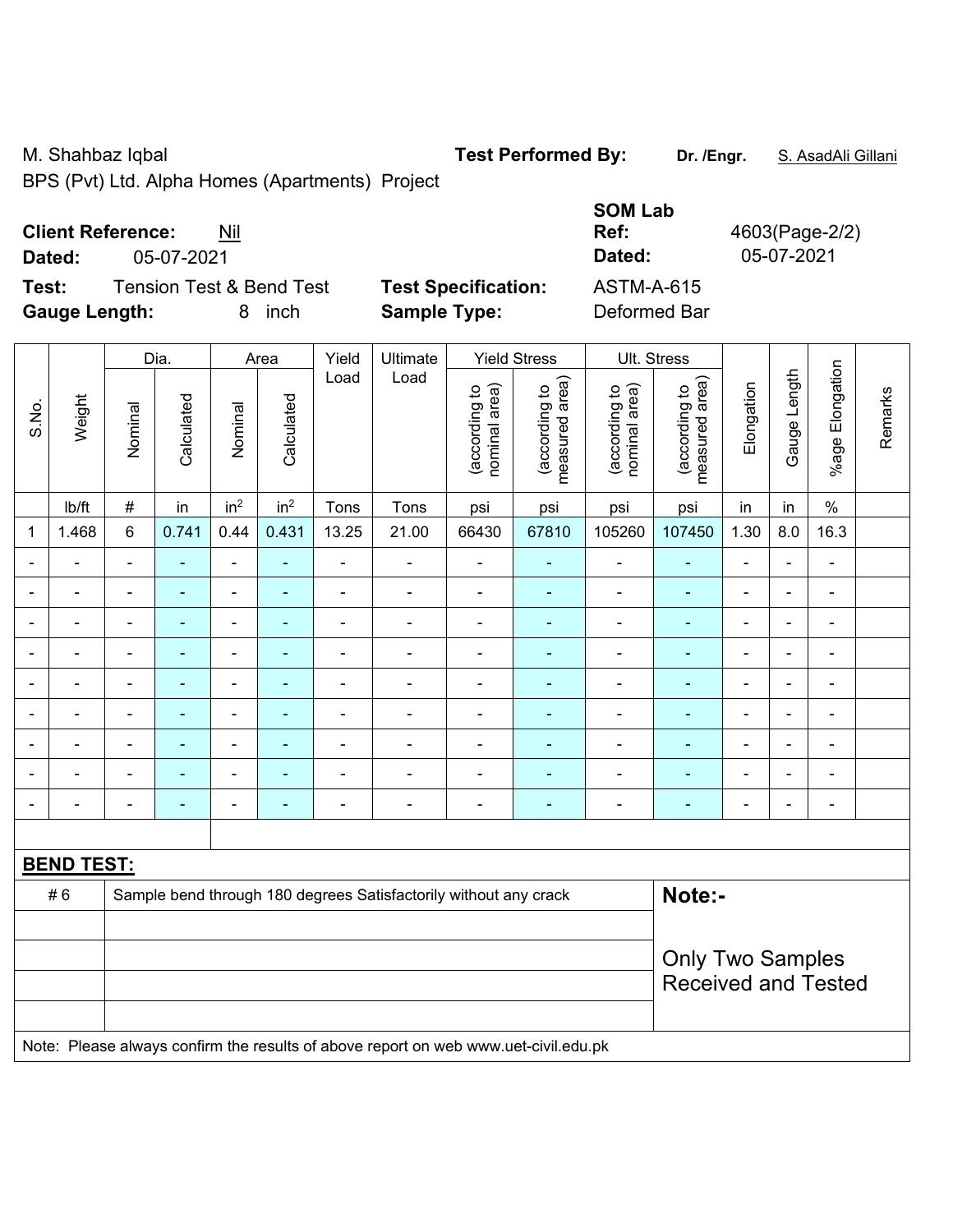M. Shahbaz Iqbal **Test Performed By:** Dr. /Engr. **S. AsadAli Gillani** Allemi

BPS (Pvt) Ltd. Alpha Homes (Apartments) Project

## **Client Reference:** Nil

**Test:** Tension Test & Bend Test **Test Specification: Gauge Length:** 8 inch **Sample Type:** Deformed Bar

|                          |                                     |                            | <b>SOM Lab</b> |                |
|--------------------------|-------------------------------------|----------------------------|----------------|----------------|
| <b>Client Reference:</b> | Nil                                 |                            | Ref:           | 4603(Page-2/2) |
| Dated:<br>05-07-2021     |                                     |                            | Dated:         | 05-07-2021     |
| Test:                    | <b>Tension Test &amp; Bend Test</b> | <b>Test Specification:</b> | ASTM-A-615     |                |
| Caugo Longth:            | 8 inch                              | Sample Type:               | Deformed Rar   |                |

|                |                   |                | Dia.       |                          | Area            | Yield                        | <b>Yield Stress</b>                                                                 | Ult. Stress                    |                                 |                                |                                 |                          |                |                          |         |
|----------------|-------------------|----------------|------------|--------------------------|-----------------|------------------------------|-------------------------------------------------------------------------------------|--------------------------------|---------------------------------|--------------------------------|---------------------------------|--------------------------|----------------|--------------------------|---------|
| S.No.          | Weight            | Nominal        | Calculated | Nominal                  | Calculated      | Load                         | Load                                                                                | nominal area)<br>(according to | (according to<br>measured area) | (according to<br>nominal area) | (according to<br>measured area) | Elongation               | Gauge Length   | Elongation<br>$%$ age    | Remarks |
|                | lb/ft             | $\#$           | in         | in <sup>2</sup>          | in <sup>2</sup> | Tons                         | Tons                                                                                | psi                            | psi                             | psi                            | psi                             | in                       | in             | $\%$                     |         |
| $\mathbf{1}$   | 1.468             | 6              | 0.741      | 0.44                     | 0.431           | 13.25                        | 21.00                                                                               | 66430                          | 67810                           | 105260                         | 107450                          | 1.30                     | 8.0            | 16.3                     |         |
|                |                   |                | ÷,         | ۰                        |                 | Ē,                           | $\blacksquare$                                                                      | $\blacksquare$                 |                                 | $\overline{\phantom{a}}$       | ٠                               | $\blacksquare$           |                | $\overline{\phantom{a}}$ |         |
| $\blacksquare$ | ۰                 | $\blacksquare$ | ۰          | $\blacksquare$           | $\blacksquare$  | $\blacksquare$               | $\blacksquare$                                                                      | ä,                             | $\qquad \qquad \blacksquare$    | $\blacksquare$                 | $\blacksquare$                  | $\blacksquare$           | $\blacksquare$ | $\blacksquare$           |         |
| $\blacksquare$ | ÷,                | $\blacksquare$ | ۰          | $\blacksquare$           | ٠               | $\blacksquare$               | $\overline{\phantom{a}}$                                                            | $\blacksquare$                 | ÷                               | $\overline{\phantom{a}}$       | ٠                               | $\overline{\phantom{a}}$ | $\blacksquare$ | $\blacksquare$           |         |
| $\blacksquare$ | $\blacksquare$    | $\blacksquare$ | ä,         | $\blacksquare$           | $\blacksquare$  | $\blacksquare$               | $\blacksquare$                                                                      | ä,                             | ÷                               | $\blacksquare$                 | $\blacksquare$                  | $\blacksquare$           |                | $\blacksquare$           |         |
|                | ä,                | L,             | ÷,         | ÷,                       |                 | $\blacksquare$               | ÷,                                                                                  | $\blacksquare$                 | $\blacksquare$                  | ÷,                             | ä,                              | ä,                       |                | $\blacksquare$           |         |
|                |                   |                | ÷,         | ۰                        |                 | ٠                            | $\overline{a}$                                                                      | $\blacksquare$                 | $\blacksquare$                  | $\blacksquare$                 | $\blacksquare$                  |                          |                | Ē,                       |         |
|                | $\blacksquare$    | $\blacksquare$ | ä,         | ÷                        | $\blacksquare$  | $\overline{\phantom{0}}$     | $\blacksquare$                                                                      | $\blacksquare$                 | $\blacksquare$                  | $\blacksquare$                 | ٠                               | $\blacksquare$           | $\blacksquare$ | $\blacksquare$           |         |
|                | ÷                 |                | ۰          | ÷                        |                 | ÷                            | $\blacksquare$                                                                      | $\blacksquare$                 | $\blacksquare$                  | ÷,                             | ÷                               | $\blacksquare$           |                | $\blacksquare$           |         |
|                | ÷,                | -              | ä,         | $\overline{\phantom{0}}$ |                 | $\qquad \qquad \blacksquare$ | $\blacksquare$                                                                      | $\blacksquare$                 | ٠                               | ÷,                             | ٠                               | $\blacksquare$           |                | $\blacksquare$           |         |
|                |                   |                |            |                          |                 |                              |                                                                                     |                                |                                 |                                |                                 |                          |                |                          |         |
|                | <b>BEND TEST:</b> |                |            |                          |                 |                              |                                                                                     |                                |                                 |                                |                                 |                          |                |                          |         |
|                | #6                |                |            |                          |                 |                              | Sample bend through 180 degrees Satisfactorily without any crack                    |                                |                                 |                                | Note:-                          |                          |                |                          |         |
|                |                   |                |            |                          |                 |                              |                                                                                     |                                |                                 |                                |                                 |                          |                |                          |         |
|                |                   |                |            |                          |                 |                              |                                                                                     |                                |                                 |                                | <b>Only Two Samples</b>         |                          |                |                          |         |
|                |                   |                |            |                          |                 |                              |                                                                                     |                                |                                 |                                | <b>Received and Tested</b>      |                          |                |                          |         |
|                |                   |                |            |                          |                 |                              |                                                                                     |                                |                                 |                                |                                 |                          |                |                          |         |
|                |                   |                |            |                          |                 |                              | Note: Please always confirm the results of above report on web www.uet-civil.edu.pk |                                |                                 |                                |                                 |                          |                |                          |         |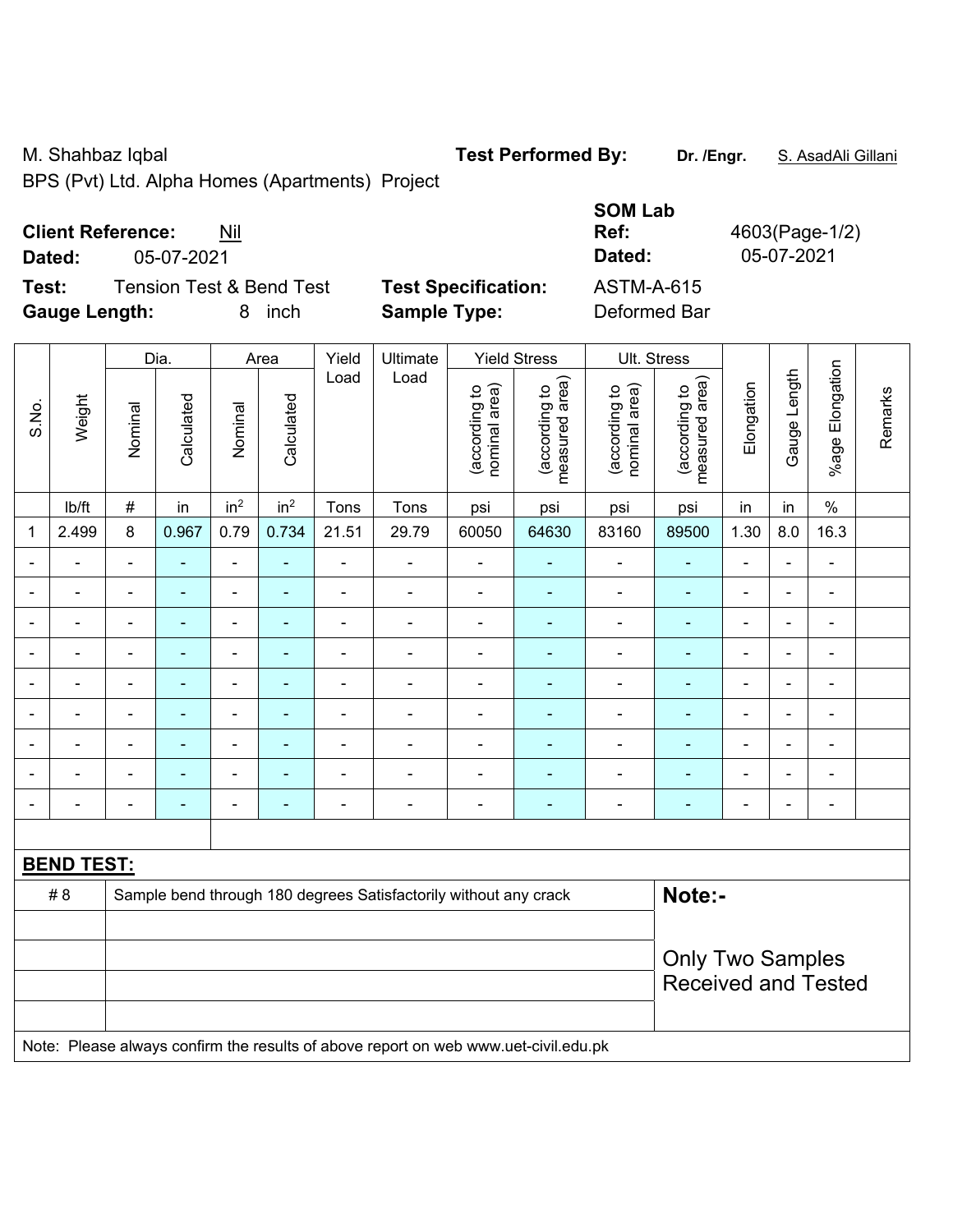M. Shahbaz Iqbal **Test Performed By:** Dr. /Engr. **S. AsadAli Gillani** Allemi

BPS (Pvt) Ltd. Alpha Homes (Apartments) Project

| <b>Client Reference:</b> | Nil |
|--------------------------|-----|
|--------------------------|-----|

**Dated:** 05-07-2021 **Dated:** 05-07-2021

**Test:** Tension Test & Bend Test **Test Specification: Gauge Length:** 8 inch **Sample Type:** Deformed Bar

| <b>SOM Lab</b><br>Ref:<br>Dated: | 4603(Page-1/2)<br>05-07-2021 |
|----------------------------------|------------------------------|
| <b>ASTM-A-615</b>                |                              |
| Deformed Bar                     |                              |

|                |                   | Yield<br>Dia.<br>Ultimate<br><b>Yield Stress</b><br>Area |                |                          |                 |                |                                                                                     |                                |                                 |                                | Ult. Stress                     |                          |                          |                          |         |
|----------------|-------------------|----------------------------------------------------------|----------------|--------------------------|-----------------|----------------|-------------------------------------------------------------------------------------|--------------------------------|---------------------------------|--------------------------------|---------------------------------|--------------------------|--------------------------|--------------------------|---------|
| S.No.          | Weight            | Nominal                                                  | Calculated     | Nominal                  | Calculated      | Load           | Load                                                                                | nominal area)<br>(according to | (according to<br>measured area) | (according to<br>nominal area) | (according to<br>measured area) | Elongation               | Gauge Length             | Elongation<br>$%$ age    | Remarks |
|                | Ib/ft             | $\#$                                                     | in             | in <sup>2</sup>          | in <sup>2</sup> | Tons           | Tons                                                                                | psi                            | psi                             | psi                            | psi                             | in                       | in                       | $\%$                     |         |
| 1              | 2.499             | $\,8\,$                                                  | 0.967          | 0.79                     | 0.734           | 21.51          | 29.79                                                                               | 60050                          | 64630                           | 83160                          | 89500                           | 1.30                     | 8.0                      | 16.3                     |         |
| $\blacksquare$ | ÷,                | $\blacksquare$                                           | $\frac{1}{2}$  | ÷                        | ÷               | $\blacksquare$ | ÷,                                                                                  | ÷,                             | $\blacksquare$                  | $\blacksquare$                 | $\blacksquare$                  | $\blacksquare$           | $\overline{\phantom{a}}$ | $\frac{1}{2}$            |         |
|                | $\blacksquare$    | $\blacksquare$                                           | $\blacksquare$ | $\blacksquare$           | $\blacksquare$  | $\blacksquare$ | $\overline{\phantom{a}}$                                                            | $\blacksquare$                 | $\blacksquare$                  | $\blacksquare$                 | $\blacksquare$                  | $\overline{\phantom{a}}$ | $\blacksquare$           | $\blacksquare$           |         |
|                | $\blacksquare$    | $\blacksquare$                                           | ٠              | $\overline{\phantom{a}}$ |                 | $\blacksquare$ | ÷                                                                                   | $\blacksquare$                 | ۰                               | ä,                             | $\blacksquare$                  | $\blacksquare$           |                          | $\blacksquare$           |         |
|                | ÷                 | $\blacksquare$                                           | $\blacksquare$ | ÷,                       |                 | $\blacksquare$ | $\blacksquare$                                                                      | $\blacksquare$                 | $\blacksquare$                  | $\blacksquare$                 | $\blacksquare$                  | $\blacksquare$           |                          | $\blacksquare$           |         |
|                | ÷                 |                                                          | $\blacksquare$ | ä,                       |                 | ä,             | ä,                                                                                  | $\blacksquare$                 |                                 | $\blacksquare$                 | L,                              | $\blacksquare$           |                          | ä,                       |         |
|                |                   |                                                          | -              | ÷                        |                 | Ē,             | ÷                                                                                   | $\blacksquare$                 |                                 | ÷                              |                                 | $\blacksquare$           |                          | $\blacksquare$           |         |
| $\blacksquare$ | $\blacksquare$    | $\blacksquare$                                           | ۰              | ÷                        | ٠               | $\blacksquare$ | $\blacksquare$                                                                      | $\blacksquare$                 | $\blacksquare$                  | $\blacksquare$                 | $\blacksquare$                  | $\blacksquare$           | $\blacksquare$           | $\overline{\phantom{a}}$ |         |
|                |                   | $\blacksquare$                                           | $\blacksquare$ | ÷,                       |                 | ä,             | Ē,                                                                                  | $\blacksquare$                 | $\blacksquare$                  | $\blacksquare$                 | $\blacksquare$                  | $\blacksquare$           |                          | $\blacksquare$           |         |
|                | ÷                 | ä,                                                       | ٠              | $\overline{\phantom{a}}$ |                 | $\blacksquare$ | ä,                                                                                  | $\blacksquare$                 | $\blacksquare$                  | $\overline{\phantom{a}}$       | ÷,                              | $\blacksquare$           |                          | $\blacksquare$           |         |
|                |                   |                                                          |                |                          |                 |                |                                                                                     |                                |                                 |                                |                                 |                          |                          |                          |         |
|                | <b>BEND TEST:</b> |                                                          |                |                          |                 |                |                                                                                     |                                |                                 |                                |                                 |                          |                          |                          |         |
|                | #8                |                                                          |                |                          |                 |                | Sample bend through 180 degrees Satisfactorily without any crack                    |                                |                                 |                                | Note:-                          |                          |                          |                          |         |
|                |                   |                                                          |                |                          |                 |                |                                                                                     |                                |                                 |                                |                                 |                          |                          |                          |         |
|                |                   |                                                          |                |                          |                 |                | <b>Only Two Samples</b><br><b>Received and Tested</b>                               |                                |                                 |                                |                                 |                          |                          |                          |         |
|                |                   |                                                          |                |                          |                 |                | Note: Please always confirm the results of above report on web www.uet-civil.edu.pk |                                |                                 |                                |                                 |                          |                          |                          |         |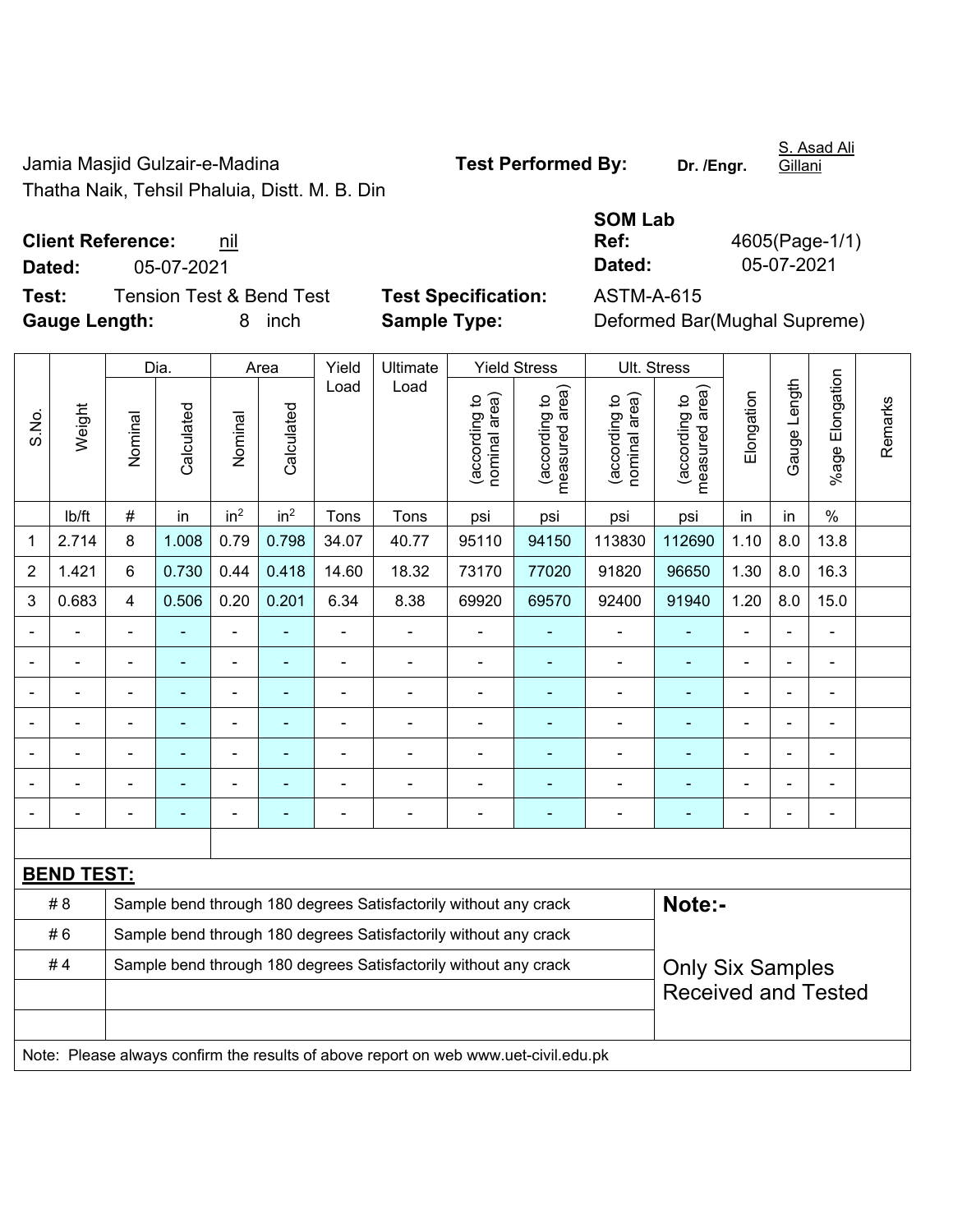Jamia Masjid Gulzair-e-Madina **Test Performed By:** Dr. /Engr. Thatha Naik, Tehsil Phaluia, Distt. M. B. Din

S. Asad Ali Gillani

**Test:** Tension Test & Bend Test **Test Specification:** ASTM-A-615 **Gauge Length:** 8 inch **Sample Type:** Deformed Bar(Mughal Supreme)

|                          |            | <b>SOM Lab</b> |                |
|--------------------------|------------|----------------|----------------|
| <b>Client Reference:</b> | nil        | Ref:           | 4605(Page-1/1) |
| Dated:                   | 05-07-2021 | Dated:         | 05-07-2021     |

|                |                   |                                                                  | Dia.       |                          | Area            | Yield          | Ultimate                                                                            |                                | <b>Yield Stress</b>             |                                | Ult. Stress                     |            |                          |                 |         |  |
|----------------|-------------------|------------------------------------------------------------------|------------|--------------------------|-----------------|----------------|-------------------------------------------------------------------------------------|--------------------------------|---------------------------------|--------------------------------|---------------------------------|------------|--------------------------|-----------------|---------|--|
| S.No.          | Weight            | Nominal                                                          | Calculated | Nominal                  | Calculated      | Load           | Load                                                                                | nominal area)<br>(according to | (according to<br>measured area) | nominal area)<br>(according to | (according to<br>measured area) | Elongation | Gauge Length             | %age Elongation | Remarks |  |
|                | lb/ft             | $\#$                                                             | in         | in <sup>2</sup>          | in <sup>2</sup> | Tons           | Tons                                                                                | psi                            | psi                             | psi                            | psi                             | in         | in                       | $\%$            |         |  |
| 1              | 2.714             | 8                                                                | 1.008      | 0.79                     | 0.798           | 34.07          | 40.77                                                                               | 95110                          | 94150                           | 113830                         | 112690                          | 1.10       | 8.0                      | 13.8            |         |  |
| $\overline{2}$ | 1.421             | 6                                                                | 0.730      | 0.44                     | 0.418           | 14.60          | 18.32                                                                               | 73170                          | 77020                           | 91820                          | 96650                           | 1.30       | 8.0                      | 16.3            |         |  |
| 3              | 0.683             | $\overline{4}$                                                   | 0.506      | 0.20                     | 0.201           | 6.34           | 8.38                                                                                | 69920                          | 69570                           | 92400                          | 91940                           | 1.20       | 8.0                      | 15.0            |         |  |
|                |                   |                                                                  |            | -                        |                 |                |                                                                                     |                                |                                 |                                |                                 |            |                          | ÷               |         |  |
|                | $\blacksquare$    | $\blacksquare$                                                   | ä,         | -                        | ٠               | $\overline{a}$ | $\blacksquare$                                                                      | $\blacksquare$                 | ä,                              | $\blacksquare$                 | $\blacksquare$                  |            | $\overline{\phantom{0}}$ | $\blacksquare$  |         |  |
|                |                   |                                                                  | ۰          | -                        |                 | Ē,             | $\overline{a}$                                                                      | L,                             |                                 | $\blacksquare$                 | ٠                               |            |                          | $\blacksquare$  |         |  |
|                |                   |                                                                  | L.         | $\overline{\phantom{0}}$ | $\blacksquare$  | $\blacksquare$ | $\blacksquare$                                                                      | L,                             | ÷.                              | $\blacksquare$                 | $\blacksquare$                  |            |                          | $\blacksquare$  |         |  |
|                |                   |                                                                  |            | ÷                        |                 |                |                                                                                     |                                |                                 | ä,                             | ä,                              |            |                          | $\overline{a}$  |         |  |
|                |                   |                                                                  |            |                          |                 |                |                                                                                     |                                |                                 |                                |                                 |            |                          |                 |         |  |
|                |                   |                                                                  |            | -                        |                 | ٠              | $\overline{\phantom{0}}$                                                            | ä,                             |                                 | ٠                              | ۳                               |            |                          | $\blacksquare$  |         |  |
|                |                   |                                                                  |            |                          |                 |                |                                                                                     |                                |                                 |                                |                                 |            |                          |                 |         |  |
|                | <b>BEND TEST:</b> |                                                                  |            |                          |                 |                |                                                                                     |                                |                                 |                                |                                 |            |                          |                 |         |  |
|                | # 8               |                                                                  |            |                          |                 |                | Sample bend through 180 degrees Satisfactorily without any crack                    |                                |                                 |                                | Note:-                          |            |                          |                 |         |  |
|                | #6                | Sample bend through 180 degrees Satisfactorily without any crack |            |                          |                 |                |                                                                                     |                                |                                 |                                |                                 |            |                          |                 |         |  |
|                | #4                |                                                                  |            |                          |                 |                | Sample bend through 180 degrees Satisfactorily without any crack                    |                                |                                 |                                | <b>Only Six Samples</b>         |            |                          |                 |         |  |
|                |                   |                                                                  |            |                          |                 |                |                                                                                     |                                |                                 |                                | <b>Received and Tested</b>      |            |                          |                 |         |  |
|                |                   |                                                                  |            |                          |                 |                |                                                                                     |                                |                                 |                                |                                 |            |                          |                 |         |  |
|                |                   |                                                                  |            |                          |                 |                | Note: Please always confirm the results of above report on web www.uet-civil.edu.pk |                                |                                 |                                |                                 |            |                          |                 |         |  |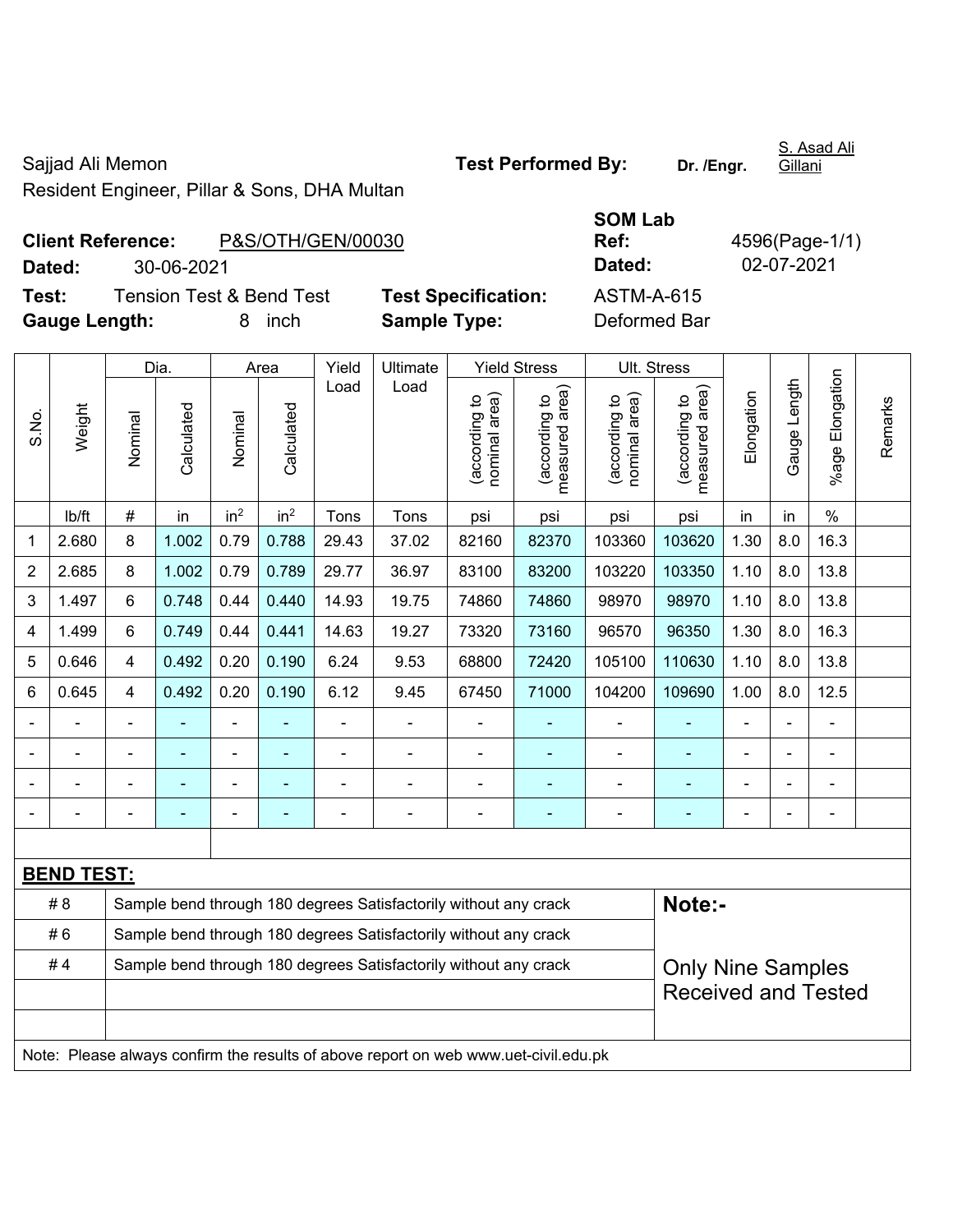Sajjad Ali Memon **Test Performed By:** Dr. /Engr. Resident Engineer, Pillar & Sons, DHA Multan

## **Client Reference:** P&S/OTH/GEN/00030

**Dated:** 30-06-2021 **Dated:** 02-07-2021

**Test:** Tension Test & Bend Test **Test Specification:** ASTM-A-615 **Gauge Length:** 8 inch **Sample Type:** Deformed Bar

|                |                   |         | Dia.       | Ultimate<br><b>Yield Stress</b><br>Area<br>Yield |                 |       |                                                                  |                                |                                    | Ult. Stress                    |                                    |                |              |                       |         |
|----------------|-------------------|---------|------------|--------------------------------------------------|-----------------|-------|------------------------------------------------------------------|--------------------------------|------------------------------------|--------------------------------|------------------------------------|----------------|--------------|-----------------------|---------|
| S.No.          | Weight            | Nominal | Calculated | Nominal                                          | Calculated      | Load  | Load                                                             | nominal area)<br>(according to | area)<br>(according to<br>measured | (according to<br>nominal area) | area)<br>(according to<br>measured | Elongation     | Gauge Length | Elongation<br>$%$ age | Remarks |
|                | lb/ft             | #       | in         | in <sup>2</sup>                                  | in <sup>2</sup> | Tons  | Tons                                                             | psi                            | psi                                | psi                            | psi                                | in             | in           | $\%$                  |         |
| 1              | 2.680             | 8       | 1.002      | 0.79                                             | 0.788           | 29.43 | 37.02                                                            | 82160                          | 82370                              | 103360                         | 103620                             | 1.30           | 8.0          | 16.3                  |         |
| $\overline{2}$ | 2.685             | 8       | 1.002      | 0.79                                             | 0.789           | 29.77 | 36.97                                                            | 83100                          | 83200                              | 103220                         | 103350                             | 1.10           | 8.0          | 13.8                  |         |
| 3              | 1.497             | 6       | 0.748      | 0.44                                             | 0.440           | 14.93 | 19.75                                                            | 74860                          | 74860                              | 98970                          | 98970                              | 1.10           | 8.0          | 13.8                  |         |
| 4              | 1.499             | 6       | 0.749      | 0.44                                             | 0.441           | 14.63 | 19.27                                                            | 73320                          | 73160                              | 96570                          | 96350                              | 1.30           | 8.0          | 16.3                  |         |
| 5              | 0.646             | 4       | 0.492      | 0.20                                             | 0.190           | 6.24  | 9.53                                                             | 68800                          | 72420                              | 105100                         | 110630                             | 1.10           | 8.0          | 13.8                  |         |
| $\,6$          | 0.645             | 4       | 0.492      | 0.20                                             | 0.190           | 6.12  | 9.45                                                             | 67450                          | 71000                              | 104200                         | 109690                             | 1.00           | 8.0          | 12.5                  |         |
|                |                   |         |            | -                                                |                 |       | $\blacksquare$                                                   |                                |                                    |                                |                                    | $\blacksquare$ |              |                       |         |
|                |                   |         |            | ۰                                                |                 |       |                                                                  |                                |                                    |                                |                                    |                |              |                       |         |
|                |                   |         |            | $\blacksquare$                                   |                 |       |                                                                  |                                |                                    |                                |                                    |                |              |                       |         |
|                |                   |         |            |                                                  |                 |       |                                                                  |                                |                                    |                                |                                    |                |              |                       |         |
|                |                   |         |            |                                                  |                 |       |                                                                  |                                |                                    |                                |                                    |                |              |                       |         |
|                | <b>BEND TEST:</b> |         |            |                                                  |                 |       |                                                                  |                                |                                    |                                |                                    |                |              |                       |         |
|                | # 8               |         |            |                                                  |                 |       | Sample bend through 180 degrees Satisfactorily without any crack |                                |                                    |                                | Note:-                             |                |              |                       |         |
|                | #6                |         |            |                                                  |                 |       | Sample bend through 180 degrees Satisfactorily without any crack |                                |                                    |                                |                                    |                |              |                       |         |
|                | #4                |         |            |                                                  |                 |       | Sample bend through 180 degrees Satisfactorily without any crack |                                |                                    |                                | <b>Only Nine Samples</b>           |                |              |                       |         |
|                |                   |         |            |                                                  |                 |       |                                                                  |                                |                                    |                                | <b>Received and Tested</b>         |                |              |                       |         |

Note: Please always confirm the results of above report on web www.uet-civil.edu.pk

S. Asad Ali **Gillani** 

**SOM Lab** 

**Ref:** 4596(Page-1/1)